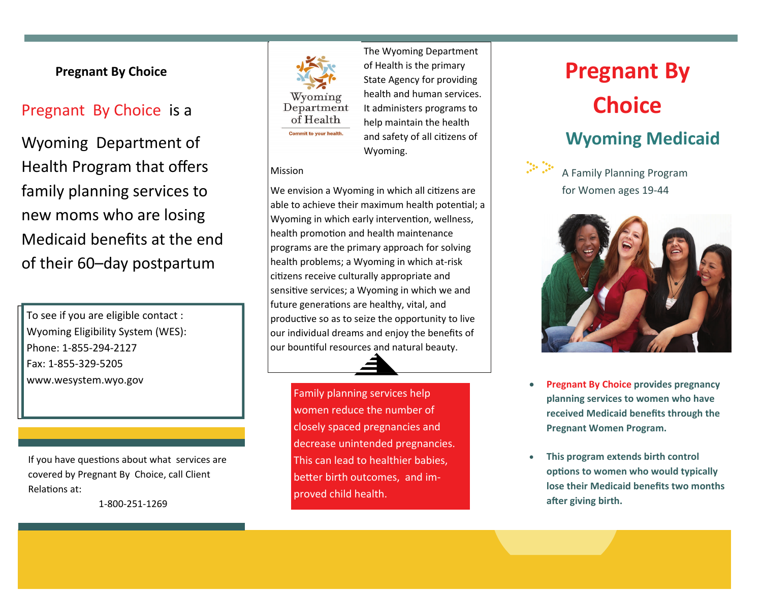## **Pregnant By Choice**

Wyoming Department of Health Program that <sup>o</sup>ffers family planning services to new moms who are losing Medicaid benefits at the end of their 60–day postpartum

To see if you are eligible contact : Wyoming Eligibility System (WES): Phone: 1‐855‐294-2127Fax: 1‐855‐329‐5205www.wesystem.wyo.gov

If you have questions about what services are covered by Pregnant By Choice, call Client RelaƟons at:

1‐800‐251‐1269



Pregnant By Choice is a **Choice** is a **Choice Choice Choice Choice Choice Choice Choice Choice Choice Choice Choice Choice Choice Choice Choice Choice Choice Choice Choice Choice Cho** The Wyoming Department of Health is the primary State Agency for providing health and human services. It administers programs to help maintain the health and safety of all citizens of Wyoming.

#### Mission

We envision a Wyoming in which all citizens are able to achieve their maximum health potential; a Wyoming in which early intervention, wellness, health promotion and health maintenance programs are the primary approach for solving health problems; <sup>a</sup> Wyoming in which at‐risk citizens receive culturally appropriate and sensitive services; a Wyoming in which we and future generations are healthy, vital, and productive so as to seize the opportunity to live our individual dreams and enjoy the benefits of our bounƟful resources and natural beauty.

> Family planning services help women reduce the number of closely spaced pregnancies and decrease unintended pregnancies. This can lead to healthier babies, better birth outcomes, and improved child health.

# **Pregnant By Wyoming Medicaid**



A Family Planning Program for Women ages 19‐44



- $\bullet$  **Pregnant By Choice provides pregnancy planning services to women who have received Medicaid benefits through the Pregnant Women Program.**
- $\bullet$  **This program extends birth control opƟons to women who would typically lose their Medicaid benefits two months aŌer giving birth.**